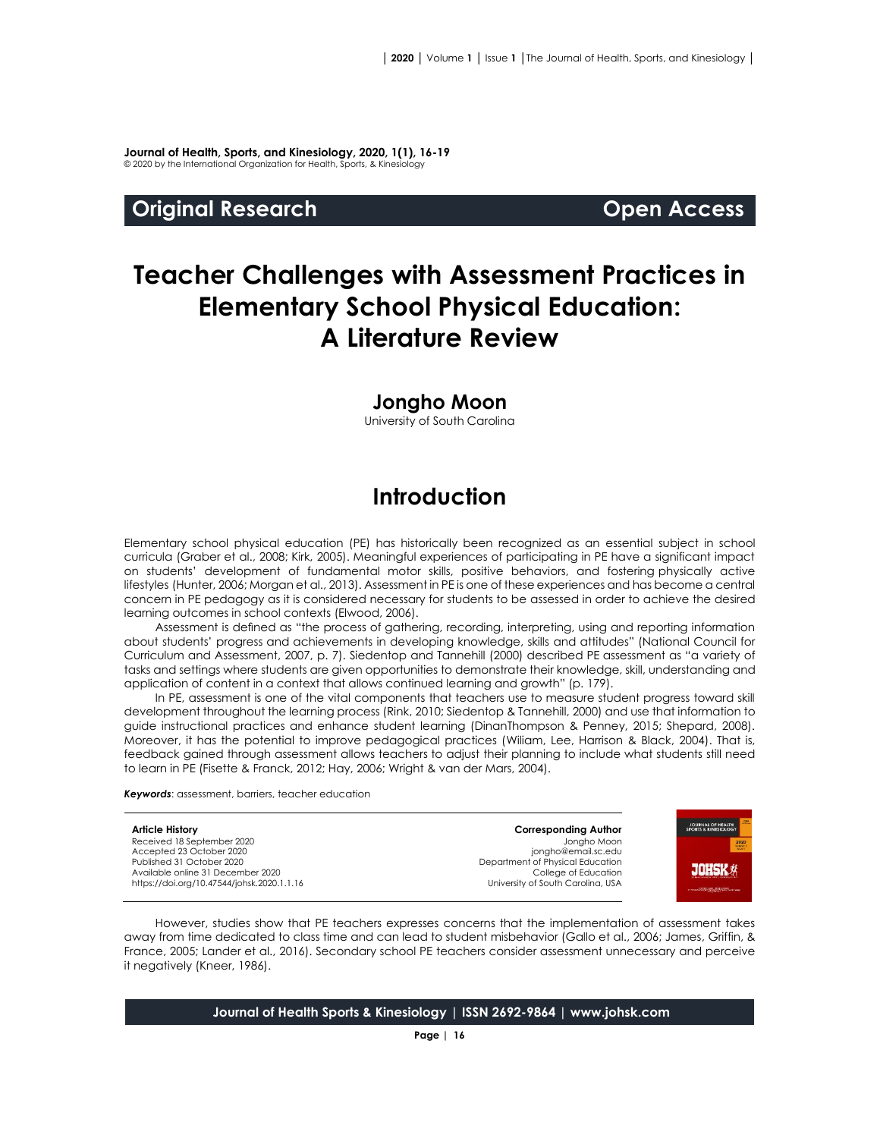**Journal of Health, Sports, and Kinesiology, 2020, 1(1), 16-19** © 2020 by the International Organization for Health, Sports, & Kinesiology

#### **Original Research Open Access**

**JOHSK \*** 

# **Teacher Challenges with Assessment Practices in Elementary School Physical Education: A Literature Review**

#### **Jongho Moon**

University of South Carolina

### **Introduction**

Elementary school physical education (PE) has historically been recognized as an essential subject in school curricula (Graber et al., 2008; Kirk, 2005). Meaningful experiences of participating in PE have a significant impact on students' development of fundamental motor skills, positive behaviors, and fostering physically active lifestyles (Hunter, 2006; Morgan et al., 2013). Assessment in PE is one of these experiences and has become a central concern in PE pedagogy as it is considered necessary for students to be assessed in order to achieve the desired learning outcomes in school contexts (Elwood, 2006).

Assessment is defined as "the process of gathering, recording, interpreting, using and reporting information about students' progress and achievements in developing knowledge, skills and attitudes" (National Council for Curriculum and Assessment, 2007, p. 7). Siedentop and Tannehill (2000) described PE assessment as "a variety of tasks and settings where students are given opportunities to demonstrate their knowledge, skill, understanding and application of content in a context that allows continued learning and growth" (p. 179).

In PE, assessment is one of the vital components that teachers use to measure student progress toward skill development throughout the learning process (Rink, 2010; Siedentop & Tannehill, 2000) and use that information to guide instructional practices and enhance student learning (DinanThompson & Penney, 2015; Shepard, 2008). Moreover, it has the potential to improve pedagogical practices (Wiliam, Lee, Harrison & Black, 2004). That is, feedback gained through assessment allows teachers to adjust their planning to include what students still need to learn in PE (Fisette & Franck, 2012; Hay, 2006; Wright & van der Mars, 2004).

*Keywords*: assessment, barriers, teacher education

**Article History** Received 18 September 2020 Accepted 23 October 2020 Published 31 October 2020 Available online 31 December 2020 [https://doi.org/10.47544/johsk.2020.1.1.1](https://doi.org/10.47544/johsk.2020.1.1.9)6 **Corresponding Author** Jongho Moon jongho@email.sc.edu Department of Physical Education College of Education University of South Carolina, USA

However, studies show that PE teachers expresses concerns that the implementation of assessment takes away from time dedicated to class time and can lead to student misbehavior (Gallo et al., 2006; James, Griffin, & France, 2005; Lander et al., 2016). Secondary school PE teachers consider assessment unnecessary and perceive it negatively (Kneer, 1986).

**Journal of Health Sports & Kinesiology | ISSN 2692-9864 | www.johsk.com**

**Page | 16**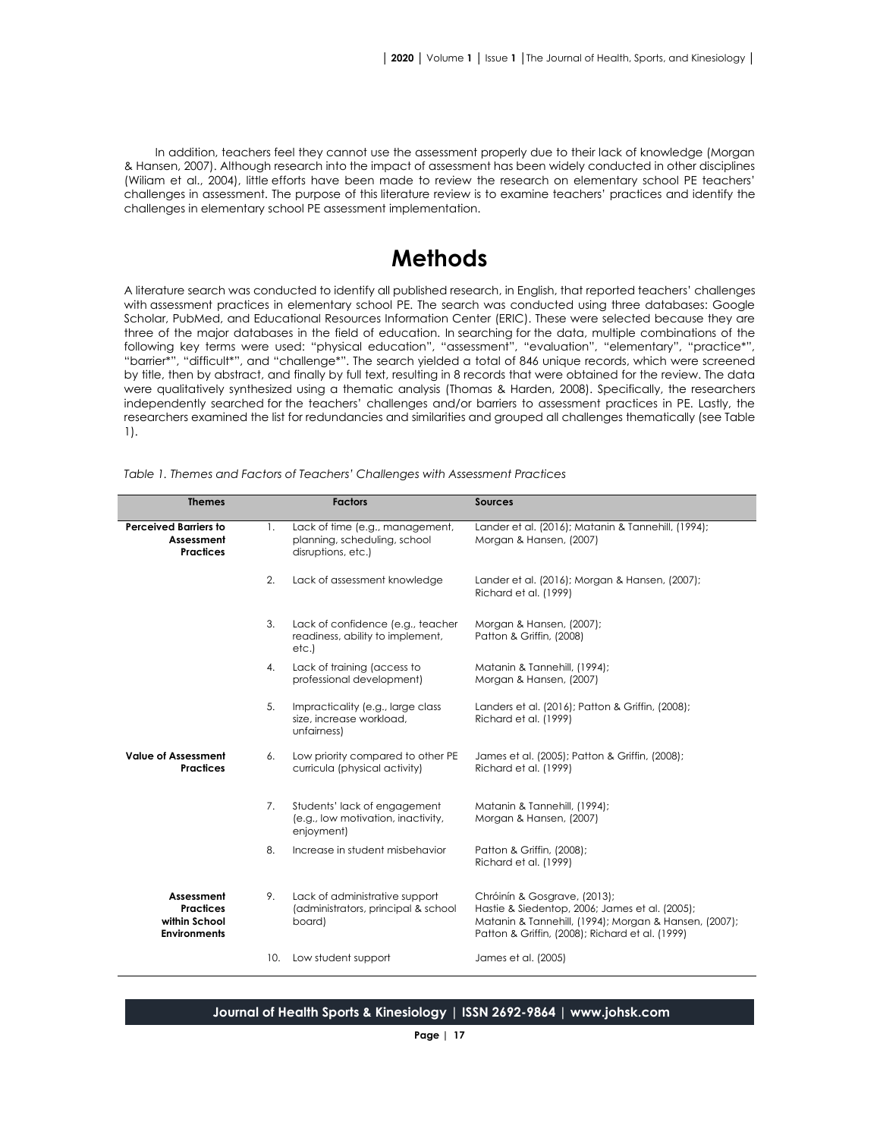In addition, teachers feel they cannot use the assessment properly due to their lack of knowledge (Morgan & Hansen, 2007). Although research into the impact of assessment has been widely conducted in other disciplines (Wiliam et al., 2004), little efforts have been made to review the research on elementary school PE teachers' challenges in assessment. The purpose of this literature review is to examine teachers' practices and identify the challenges in elementary school PE assessment implementation.

# **Methods**

A literature search was conducted to identify all published research, in English, that reported teachers' challenges with assessment practices in elementary school PE. The search was conducted using three databases: Google Scholar, PubMed, and Educational Resources Information Center (ERIC). These were selected because they are three of the major databases in the field of education. In searching for the data, multiple combinations of the following key terms were used: "physical education", "assessment", "evaluation", "elementary", "practice\*", "barrier\*", "difficult\*", and "challenge\*". The search yielded a total of 846 unique records, which were screened by title, then by abstract, and finally by full text, resulting in 8 records that were obtained for the review. The data were qualitatively synthesized using a thematic analysis (Thomas & Harden, 2008). Specifically, the researchers independently searched for the teachers' challenges and/or barriers to assessment practices in PE. Lastly, the researchers examined the list for redundancies and similarities and grouped all challenges thematically (see Table 1).

| <b>Themes</b>                                                          |     | <b>Factors</b>                                                                        | <b>Sources</b>                                                                                                                                                                              |
|------------------------------------------------------------------------|-----|---------------------------------------------------------------------------------------|---------------------------------------------------------------------------------------------------------------------------------------------------------------------------------------------|
| <b>Perceived Barriers to</b><br>Assessment<br><b>Practices</b>         | 1.  | Lack of time (e.g., management,<br>planning, scheduling, school<br>disruptions, etc.) | Lander et al. (2016); Matanin & Tannehill, (1994);<br>Morgan & Hansen, (2007)                                                                                                               |
|                                                                        | 2.  | Lack of assessment knowledge                                                          | Lander et al. (2016); Morgan & Hansen, (2007);<br>Richard et al. (1999)                                                                                                                     |
|                                                                        | 3.  | Lack of confidence (e.g., teacher<br>readiness, ability to implement,<br>etc.)        | Morgan & Hansen, (2007);<br>Patton & Griffin, (2008)                                                                                                                                        |
|                                                                        | 4.  | Lack of training (access to<br>professional development)                              | Matanin & Tannehill, (1994);<br>Morgan & Hansen, (2007)                                                                                                                                     |
|                                                                        | 5.  | Impracticality (e.g., large class<br>size, increase workload,<br>unfairness)          | Landers et al. (2016); Patton & Griffin, (2008);<br>Richard et al. (1999)                                                                                                                   |
| <b>Value of Assessment</b><br><b>Practices</b>                         | 6.  | Low priority compared to other PE<br>curricula (physical activity)                    | James et al. (2005); Patton & Griffin, (2008);<br>Richard et al. (1999)                                                                                                                     |
|                                                                        | 7.  | Students' lack of engagement<br>(e.g., low motivation, inactivity,<br>enjoyment)      | Matanin & Tannehill, (1994);<br>Morgan & Hansen, (2007)                                                                                                                                     |
|                                                                        | 8.  | Increase in student misbehavior                                                       | Patton & Griffin, (2008);<br>Richard et al. (1999)                                                                                                                                          |
| Assessment<br><b>Practices</b><br>within School<br><b>Environments</b> | 9.  | Lack of administrative support<br>(administrators, principal & school<br>board)       | Chróinín & Gosgrave, (2013);<br>Hastie & Siedentop, 2006; James et al. (2005);<br>Matanin & Tannehill, (1994); Morgan & Hansen, (2007);<br>Patton & Griffin, (2008); Richard et al. (1999). |
|                                                                        | 10. | Low student support                                                                   | James et al. (2005)                                                                                                                                                                         |

*Table 1. Themes and Factors of Teachers' Challenges with Assessment Practices* 

#### **Journal of Health Sports & Kinesiology | ISSN 2692-9864 | www.johsk.com**

**Page | 17**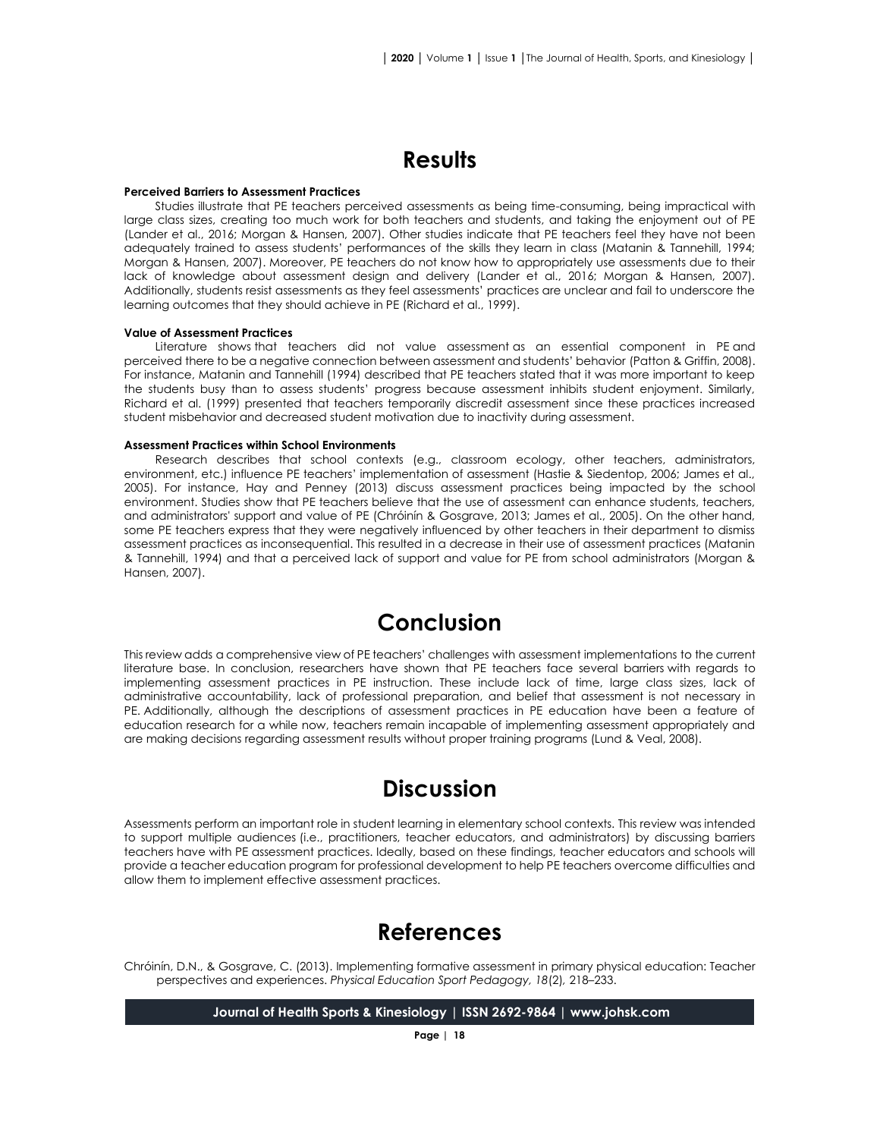# **Results**

#### **Perceived Barriers to Assessment Practices**

Studies illustrate that PE teachers perceived assessments as being time-consuming, being impractical with large class sizes, creating too much work for both teachers and students, and taking the enjoyment out of PE (Lander et al., 2016; Morgan & Hansen, 2007). Other studies indicate that PE teachers feel they have not been adequately trained to assess students' performances of the skills they learn in class (Matanin & Tannehill, 1994; Morgan & Hansen, 2007). Moreover, PE teachers do not know how to appropriately use assessments due to their lack of knowledge about assessment design and delivery (Lander et al., 2016; Morgan & Hansen, 2007). Additionally, students resist assessments as they feel assessments' practices are unclear and fail to underscore the learning outcomes that they should achieve in PE (Richard et al., 1999).

#### **Value of Assessment Practices**

Literature shows that teachers did not value assessment as an essential component in PE and perceived there to be a negative connection between assessment and students' behavior (Patton & Griffin, 2008). For instance, Matanin and Tannehill (1994) described that PE teachers stated that it was more important to keep the students busy than to assess students' progress because assessment inhibits student enjoyment. Similarly, Richard et al. (1999) presented that teachers temporarily discredit assessment since these practices increased student misbehavior and decreased student motivation due to inactivity during assessment.

#### **Assessment Practices within School Environments**

Research describes that school contexts (e.g., classroom ecology, other teachers, administrators, environment, etc.) influence PE teachers' implementation of assessment (Hastie & Siedentop, 2006; James et al., 2005). For instance, Hay and Penney (2013) discuss assessment practices being impacted by the school environment. Studies show that PE teachers believe that the use of assessment can enhance students, teachers, and administrators' support and value of PE (Chróinín & Gosgrave, 2013; James et al., 2005). On the other hand, some PE teachers express that they were negatively influenced by other teachers in their department to dismiss assessment practices as inconsequential. This resulted in a decrease in their use of assessment practices (Matanin & Tannehill, 1994) and that a perceived lack of support and value for PE from school administrators (Morgan & Hansen, 2007).

# **Conclusion**

This review adds a comprehensive view of PE teachers' challenges with assessment implementations to the current literature base. In conclusion, researchers have shown that PE teachers face several barriers with regards to implementing assessment practices in PE instruction. These include lack of time, large class sizes, lack of administrative accountability, lack of professional preparation, and belief that assessment is not necessary in PE. Additionally, although the descriptions of assessment practices in PE education have been a feature of education research for a while now, teachers remain incapable of implementing assessment appropriately and are making decisions regarding assessment results without proper training programs (Lund & Veal, 2008).

### **Discussion**

Assessments perform an important role in student learning in elementary school contexts. This review was intended to support multiple audiences (i.e., practitioners, teacher educators, and administrators) by discussing barriers teachers have with PE assessment practices. Ideally, based on these findings, teacher educators and schools will provide a teacher education program for professional development to help PE teachers overcome difficulties and allow them to implement effective assessment practices.

### **References**

Chróinín, D.N., & Gosgrave, C. (2013). Implementing formative assessment in primary physical education: Teacher perspectives and experiences. *Physical Education Sport Pedagogy, 18*(2)*,* 218–233.

**Journal of Health Sports & Kinesiology | ISSN 2692-9864 | www.johsk.com**